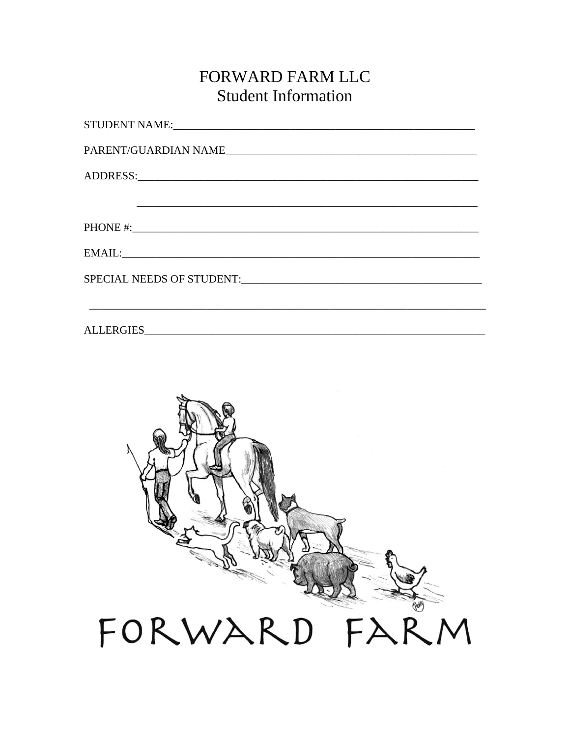### FORWARD FARM LLC **Student Information**

| SPECIAL NEEDS OF STUDENT: |
|---------------------------|
|                           |
|                           |

**ALLERGIES**